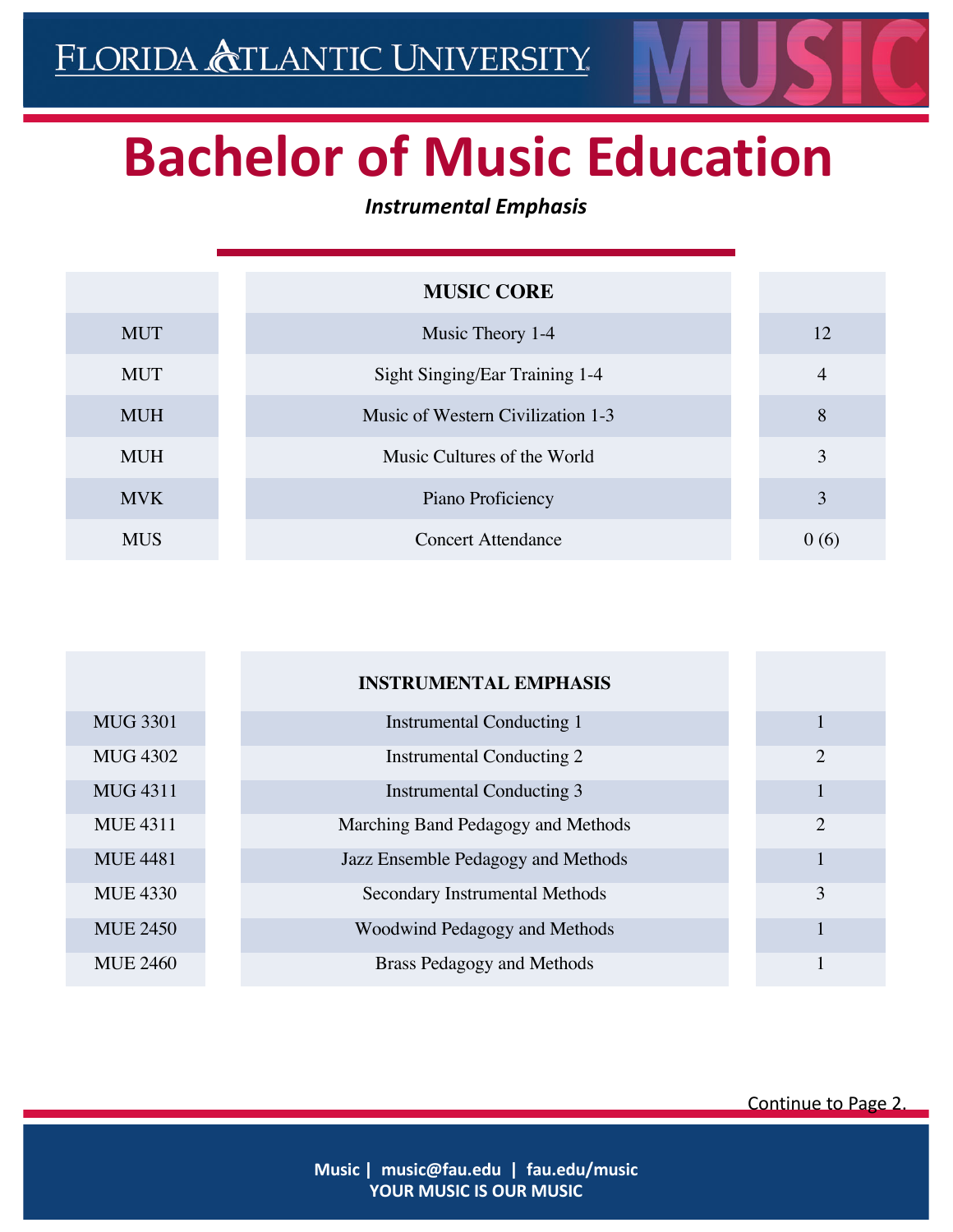## **Bachelor of Music Education**

## *Instrumental Emphasis*

|            | <b>MUSIC CORE</b>                 |                |
|------------|-----------------------------------|----------------|
| <b>MUT</b> | Music Theory 1-4                  | 12             |
| <b>MUT</b> | Sight Singing/Ear Training 1-4    | $\overline{4}$ |
| <b>MUH</b> | Music of Western Civilization 1-3 | 8              |
| <b>MUH</b> | Music Cultures of the World       | 3              |
| <b>MVK</b> | Piano Proficiency                 | 3              |
| <b>MUS</b> | <b>Concert Attendance</b>         | 0(6)           |

|                 | <b>INSTRUMENTAL EMPHASIS</b>       |                |
|-----------------|------------------------------------|----------------|
| <b>MUG 3301</b> | <b>Instrumental Conducting 1</b>   |                |
| <b>MUG 4302</b> | <b>Instrumental Conducting 2</b>   | $\overline{2}$ |
| <b>MUG 4311</b> | <b>Instrumental Conducting 3</b>   |                |
| <b>MUE 4311</b> | Marching Band Pedagogy and Methods | $\overline{2}$ |
| <b>MUE 4481</b> | Jazz Ensemble Pedagogy and Methods |                |
| <b>MUE 4330</b> | Secondary Instrumental Methods     | 3              |
| <b>MUE 2450</b> | Woodwind Pedagogy and Methods      |                |
| <b>MUE 2460</b> | <b>Brass Pedagogy and Methods</b>  |                |

Continue to Page 2.